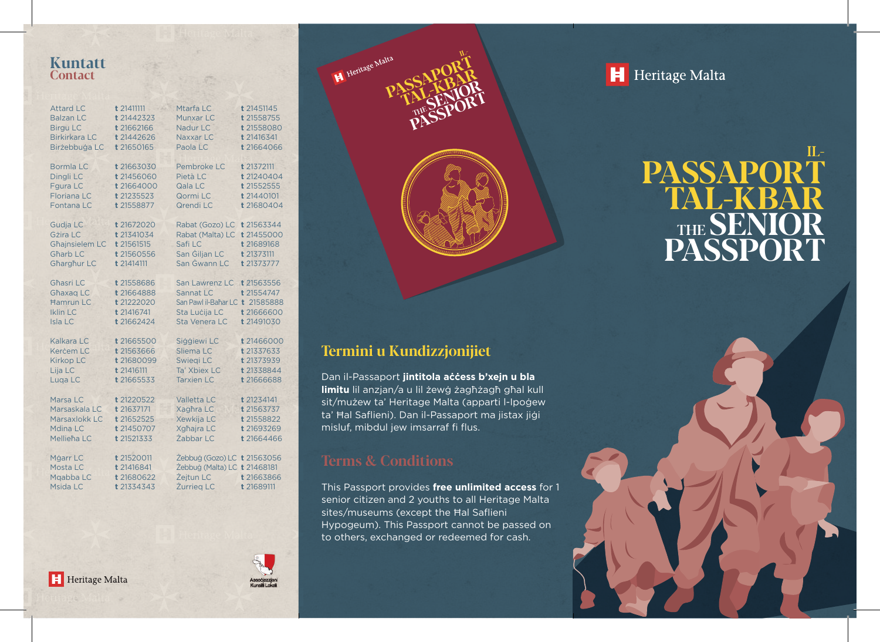### **Kuntatt Contact**

| <b>Attard LC</b>                                                         | t 21411111                                                         | Mtarfa LC                                                                                        | t 21451145                                           |
|--------------------------------------------------------------------------|--------------------------------------------------------------------|--------------------------------------------------------------------------------------------------|------------------------------------------------------|
| <b>Balzan LC</b>                                                         | t21442323                                                          | Munxar LC                                                                                        | t 21558755                                           |
| <b>Birgu LC</b>                                                          | t 21662166                                                         | Nadur LC                                                                                         | t 21558080                                           |
| <b>Birkirkara LC</b>                                                     | t 21442626                                                         | Naxxar LC                                                                                        | t 21416341                                           |
| Birżebbuġa LC                                                            | t 21650165                                                         | Paola LC                                                                                         | t 21664066                                           |
| Bormla LC                                                                | t 21663030                                                         | Pembroke LC                                                                                      | t 21372111                                           |
| Dingli LC                                                                | t 21456060                                                         | Pietà LC                                                                                         | t 21240404                                           |
| <b>Fgura LC</b>                                                          | t 21664000                                                         | Qala LC                                                                                          | t 21552555                                           |
| <b>Floriana LC</b>                                                       | t 21235523                                                         | Qormi LC                                                                                         | t 21440101                                           |
| Fontana LC                                                               | t 21558877                                                         | Qrendi LC                                                                                        | t 21680404                                           |
| Gudja LC                                                                 | t 21672020                                                         | Rabat (Gozo) LC                                                                                  | t 21563344                                           |
| Gżira LC                                                                 | t 21341034                                                         | Rabat (Malta) LC                                                                                 | t 21455000                                           |
| <b>Ghajnsielem LC</b>                                                    | t 21561515                                                         | Safi LC                                                                                          | t 21689168                                           |
| <b>Gharb LC</b>                                                          | t 21560556                                                         | San Gilian LC                                                                                    | t 21373111                                           |
| Gharghur LC                                                              | t 21414111                                                         | San Gwann LC                                                                                     | t 21373777                                           |
| Ghasri LC<br>Ghaxag LC<br><b>Hamrun LC</b><br><b>Iklin LC</b><br>Isla LC | t 21558686<br>t 21664888<br>t 21222020<br>t 21416741<br>t 21662424 | San Lawrenz LC<br>Sannat LC<br>San Pawl il-Bahar LC t 21585888<br>Sta Luċija LC<br>Sta Venera LC | t 21563556<br>t 21554747<br>t 21666600<br>t 21491030 |
| Kalkara LC                                                               | t 21665500                                                         | Siggiewi LC                                                                                      | t 21466000                                           |
| Kercem LC                                                                | t 21563666                                                         | Sliema LC                                                                                        | t 21337633                                           |
| <b>Kirkop LC</b>                                                         | t 21680099                                                         | Swiegi LC                                                                                        | t 21373939                                           |
| Lija LC                                                                  | t 21416111                                                         | Ta' Xbiex LC                                                                                     | t 21338844                                           |
| Luga LC                                                                  | t 21665533                                                         | <b>Tarxien LC</b>                                                                                | t 21666688                                           |
| Marsa LC                                                                 | t 21220522                                                         | <b>Valletta LC</b>                                                                               | t 21234141                                           |
| Marsaskala LC                                                            | t 21637171                                                         | <b>Xaghra LC</b>                                                                                 | t 21563737                                           |
| Marsaxlokk LC                                                            | t 21652525                                                         | <b>Xewkija LC</b>                                                                                | t 21558822                                           |
| Mdina LC                                                                 | t 21450707                                                         | <b>Xghajra LC</b>                                                                                | t 21693269                                           |
| Mellieha LC                                                              | t 21521333                                                         | Żabbar LC                                                                                        | t 21664466                                           |
| Mġarr LC<br>Mosta LC<br>Mgabba LC<br>Msida LC                            | t 21520011<br>t 21416841<br>t 21680622<br>t 21334343               | Żebbug (Gozo) LC t 21563056<br>Żebbuġ (Malta) LC t 21468181<br>Żejtun LC<br>Żurrieg LC           | t 21663866<br>t 21689111                             |



## **Termini u Kundizzjonijiet**

Dan il-Passaport **jintitola aċċess b'xejn u bla limitu** lil anzjan/a u lil żewġ żagħżagħ għal kull sit/mużew ta' Heritage Malta (apparti l-Ipoġew ta' Ħal Saflieni). Dan il-Passaport ma jistax jiġi misluf, mibdul jew imsarraf fi flus.

**PASSAPORT** 

THE

**TAL-KBAR SENIOR PASSPORT**

IL-

### **Terms & Conditions**

This Passport provides **free unlimited access** for 1 senior citizen and 2 youths to all Heritage Malta sites/museums (except the Ħal Saflieni Hypogeum). This Passport cannot be passed on to others, exchanged or redeemed for cash.

H Heritage Malta

# **PASSAPORT** TAL-KBA THE **SENIOR PASSPORT**  $\Pi$  -

Heritage Malta